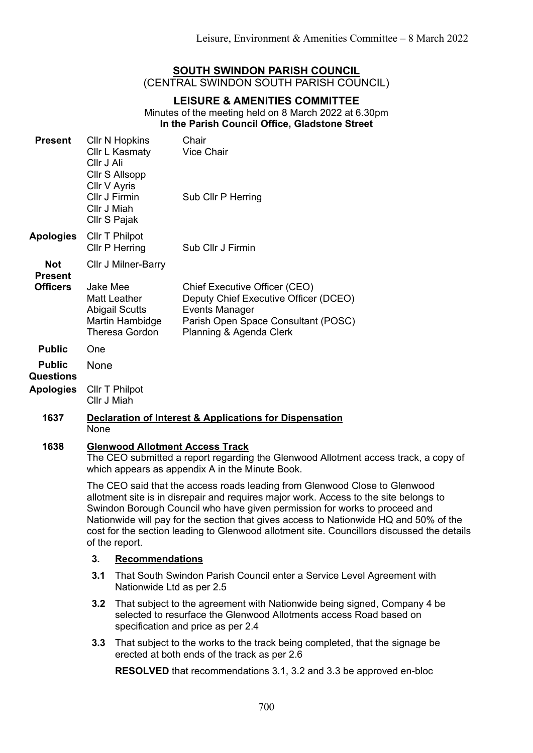# **SOUTH SWINDON PARISH COUNCIL** (CENTRAL SWINDON SOUTH PARISH COUNCIL)

# **LEISURE & AMENITIES COMMITTEE** Minutes of the meeting held on 8 March 2022 at 6.30pm **In the Parish Council Office, Gladstone Street**

| <b>Present</b>                                        | <b>CIIr N Hopkins</b><br>Cllr L Kasmaty<br>Cllr J Ali<br>Cllr S Allsopp<br>Cllr V Ayris<br>Cllr J Firmin<br>Cllr J Miah<br>Cllr S Pajak                                                                                                                                                                                                                                                                                                                    |                                                                                                                                                                                      | Chair<br><b>Vice Chair</b><br>Sub Cllr P Herring                                                                                                           |  |
|-------------------------------------------------------|------------------------------------------------------------------------------------------------------------------------------------------------------------------------------------------------------------------------------------------------------------------------------------------------------------------------------------------------------------------------------------------------------------------------------------------------------------|--------------------------------------------------------------------------------------------------------------------------------------------------------------------------------------|------------------------------------------------------------------------------------------------------------------------------------------------------------|--|
| <b>Apologies</b>                                      | Cllr T Philpot<br><b>CIIr P Herring</b>                                                                                                                                                                                                                                                                                                                                                                                                                    |                                                                                                                                                                                      | Sub Cllr J Firmin                                                                                                                                          |  |
| <b>Not</b><br><b>Present</b><br><b>Officers</b>       | <b>CIIr J Milner-Barry</b>                                                                                                                                                                                                                                                                                                                                                                                                                                 |                                                                                                                                                                                      |                                                                                                                                                            |  |
|                                                       | Jake Mee                                                                                                                                                                                                                                                                                                                                                                                                                                                   | <b>Matt Leather</b><br><b>Abigail Scutts</b><br>Martin Hambidge<br><b>Theresa Gordon</b>                                                                                             | Chief Executive Officer (CEO)<br>Deputy Chief Executive Officer (DCEO)<br>Events Manager<br>Parish Open Space Consultant (POSC)<br>Planning & Agenda Clerk |  |
| <b>Public</b>                                         | One                                                                                                                                                                                                                                                                                                                                                                                                                                                        |                                                                                                                                                                                      |                                                                                                                                                            |  |
| <b>Public</b><br><b>Questions</b><br><b>Apologies</b> | <b>None</b>                                                                                                                                                                                                                                                                                                                                                                                                                                                |                                                                                                                                                                                      |                                                                                                                                                            |  |
|                                                       | Cllr T Philpot<br>Cllr J Miah                                                                                                                                                                                                                                                                                                                                                                                                                              |                                                                                                                                                                                      |                                                                                                                                                            |  |
| 1637                                                  | <b>Declaration of Interest &amp; Applications for Dispensation</b><br>None                                                                                                                                                                                                                                                                                                                                                                                 |                                                                                                                                                                                      |                                                                                                                                                            |  |
| 1638                                                  | <b>Glenwood Allotment Access Track</b><br>The CEO submitted a report regarding the Glenwood Allotment access track, a copy of<br>which appears as appendix A in the Minute Book.                                                                                                                                                                                                                                                                           |                                                                                                                                                                                      |                                                                                                                                                            |  |
|                                                       | The CEO said that the access roads leading from Glenwood Close to Glenwood<br>allotment site is in disrepair and requires major work. Access to the site belongs to<br>Swindon Borough Council who have given permission for works to proceed and<br>Nationwide will pay for the section that gives access to Nationwide HQ and 50% of the<br>cost for the section leading to Glenwood allotment site. Councillors discussed the details<br>of the report. |                                                                                                                                                                                      |                                                                                                                                                            |  |
|                                                       | 3.                                                                                                                                                                                                                                                                                                                                                                                                                                                         | <b>Recommendations</b>                                                                                                                                                               |                                                                                                                                                            |  |
|                                                       | 3.1                                                                                                                                                                                                                                                                                                                                                                                                                                                        | That South Swindon Parish Council enter a Service Level Agreement with<br>Nationwide Ltd as per 2.5                                                                                  |                                                                                                                                                            |  |
|                                                       | 3.2                                                                                                                                                                                                                                                                                                                                                                                                                                                        | That subject to the agreement with Nationwide being signed, Company 4 be<br>selected to resurface the Glenwood Allotments access Road based on<br>specification and price as per 2.4 |                                                                                                                                                            |  |
|                                                       | 3.3                                                                                                                                                                                                                                                                                                                                                                                                                                                        |                                                                                                                                                                                      | That subject to the works to the track being completed, that the signage be                                                                                |  |

erected at both ends of the track as per 2.6 **RESOLVED** that recommendations 3.1, 3.2 and 3.3 be approved en-bloc

700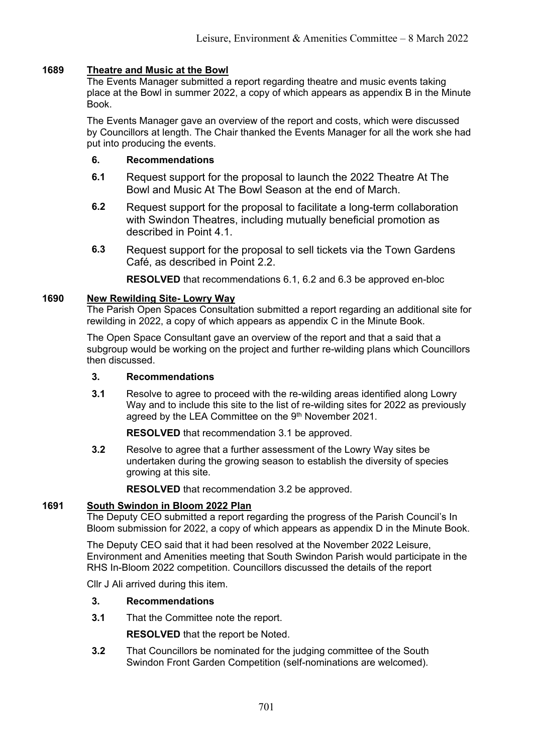# **1689 Theatre and Music at the Bowl**

The Events Manager submitted a report regarding theatre and music events taking place at the Bowl in summer 2022, a copy of which appears as appendix B in the Minute Book.

The Events Manager gave an overview of the report and costs, which were discussed by Councillors at length. The Chair thanked the Events Manager for all the work she had put into producing the events.

# **6. Recommendations**

- **6.1** Request support for the proposal to launch the 2022 Theatre At The Bowl and Music At The Bowl Season at the end of March.
- **6.2** Request support for the proposal to facilitate a long-term collaboration with Swindon Theatres, including mutually beneficial promotion as described in Point 4.1.
- **6.3** Request support for the proposal to sell tickets via the Town Gardens Café, as described in Point 2.2.

**RESOLVED** that recommendations 6.1, 6.2 and 6.3 be approved en-bloc

# **1690 New Rewilding Site- Lowry Way**

The Parish Open Spaces Consultation submitted a report regarding an additional site for rewilding in 2022, a copy of which appears as appendix C in the Minute Book.

The Open Space Consultant gave an overview of the report and that a said that a subgroup would be working on the project and further re-wilding plans which Councillors then discussed.

# **3. Recommendations**

**3.1** Resolve to agree to proceed with the re-wilding areas identified along Lowry Way and to include this site to the list of re-wilding sites for 2022 as previously agreed by the LEA Committee on the 9<sup>th</sup> November 2021.

**RESOLVED** that recommendation 3.1 be approved.

**3.2** Resolve to agree that a further assessment of the Lowry Way sites be undertaken during the growing season to establish the diversity of species growing at this site.

**RESOLVED** that recommendation 3.2 be approved.

# **1691 South Swindon in Bloom 2022 Plan**

The Deputy CEO submitted a report regarding the progress of the Parish Council's In Bloom submission for 2022, a copy of which appears as appendix D in the Minute Book.

The Deputy CEO said that it had been resolved at the November 2022 Leisure, Environment and Amenities meeting that South Swindon Parish would participate in the RHS In-Bloom 2022 competition. Councillors discussed the details of the report

Cllr J Ali arrived during this item.

# **3. Recommendations**

**3.1** That the Committee note the report.

**RESOLVED** that the report be Noted.

**3.2** That Councillors be nominated for the judging committee of the South Swindon Front Garden Competition (self-nominations are welcomed).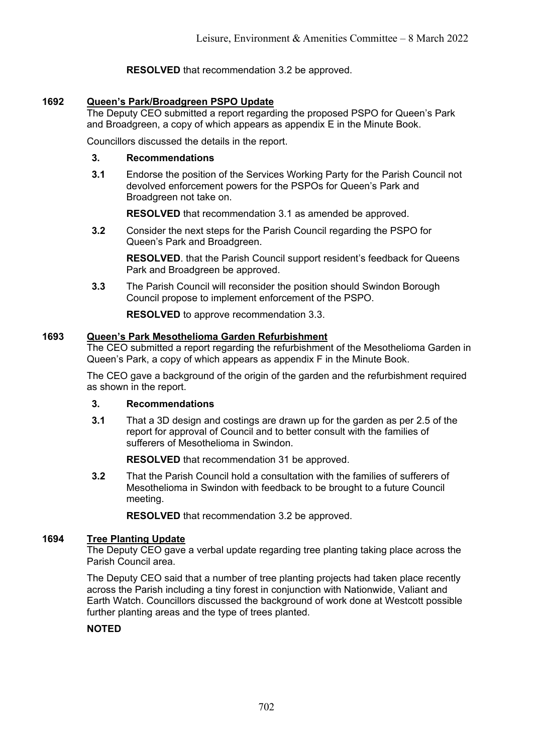**RESOLVED** that recommendation 3.2 be approved.

# **1692 Queen's Park/Broadgreen PSPO Update**

The Deputy CEO submitted a report regarding the proposed PSPO for Queen's Park and Broadgreen, a copy of which appears as appendix E in the Minute Book.

Councillors discussed the details in the report.

# **3. Recommendations**

**3.1** Endorse the position of the Services Working Party for the Parish Council not devolved enforcement powers for the PSPOs for Queen's Park and Broadgreen not take on.

**RESOLVED** that recommendation 3.1 as amended be approved.

**3.2** Consider the next steps for the Parish Council regarding the PSPO for Queen's Park and Broadgreen.

**RESOLVED**. that the Parish Council support resident's feedback for Queens Park and Broadgreen be approved.

**3.3** The Parish Council will reconsider the position should Swindon Borough Council propose to implement enforcement of the PSPO.

**RESOLVED** to approve recommendation 3.3.

# **1693 Queen's Park Mesothelioma Garden Refurbishment**

The CEO submitted a report regarding the refurbishment of the Mesothelioma Garden in Queen's Park, a copy of which appears as appendix F in the Minute Book.

The CEO gave a background of the origin of the garden and the refurbishment required as shown in the report.

# **3. Recommendations**

**3.1** That a 3D design and costings are drawn up for the garden as per 2.5 of the report for approval of Council and to better consult with the families of sufferers of Mesothelioma in Swindon.

**RESOLVED** that recommendation 31 be approved.

**3.2** That the Parish Council hold a consultation with the families of sufferers of Mesothelioma in Swindon with feedback to be brought to a future Council meeting.

**RESOLVED** that recommendation 3.2 be approved.

# **1694 Tree Planting Update**

The Deputy CEO gave a verbal update regarding tree planting taking place across the Parish Council area.

The Deputy CEO said that a number of tree planting projects had taken place recently across the Parish including a tiny forest in conjunction with Nationwide, Valiant and Earth Watch. Councillors discussed the background of work done at Westcott possible further planting areas and the type of trees planted.

# **NOTED**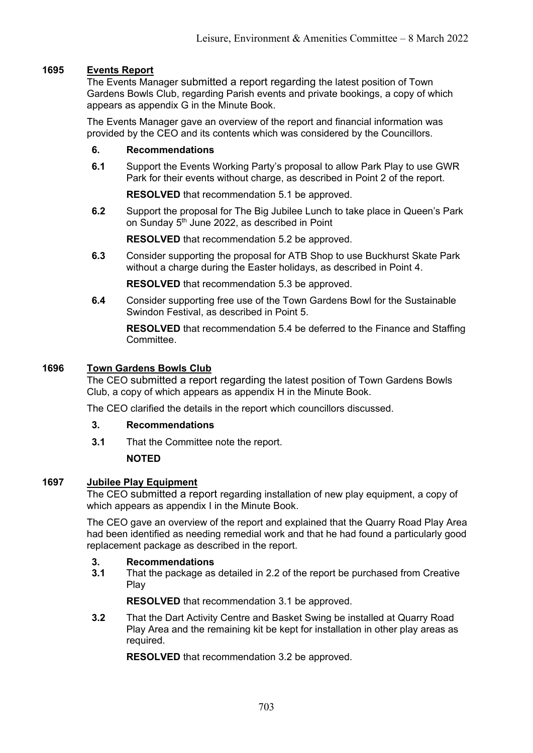# **1695 Events Report**

The Events Manager submitted a report regarding the latest position of Town Gardens Bowls Club, regarding Parish events and private bookings, a copy of which appears as appendix G in the Minute Book.

The Events Manager gave an overview of the report and financial information was provided by the CEO and its contents which was considered by the Councillors.

# **6. Recommendations**

**6.1** Support the Events Working Party's proposal to allow Park Play to use GWR Park for their events without charge, as described in Point 2 of the report.

**RESOLVED** that recommendation 5.1 be approved.

**6.2** Support the proposal for The Big Jubilee Lunch to take place in Queen's Park on Sunday 5<sup>th</sup> June 2022, as described in Point

**RESOLVED** that recommendation 5.2 be approved.

**6.3** Consider supporting the proposal for ATB Shop to use Buckhurst Skate Park without a charge during the Easter holidays, as described in Point 4.

**RESOLVED** that recommendation 5.3 be approved.

**6.4** Consider supporting free use of the Town Gardens Bowl for the Sustainable Swindon Festival, as described in Point 5.

**RESOLVED** that recommendation 5.4 be deferred to the Finance and Staffing Committee.

#### **1696 Town Gardens Bowls Club**

The CEO submitted a report regarding the latest position of Town Gardens Bowls Club, a copy of which appears as appendix H in the Minute Book.

The CEO clarified the details in the report which councillors discussed.

#### **3. Recommendations**

**3.1** That the Committee note the report.

# **NOTED**

# **1697 Jubilee Play Equipment**

The CEO submitted a report regarding installation of new play equipment, a copy of which appears as appendix I in the Minute Book.

The CEO gave an overview of the report and explained that the Quarry Road Play Area had been identified as needing remedial work and that he had found a particularly good replacement package as described in the report.

#### **3. Recommendations**

**3.1** That the package as detailed in 2.2 of the report be purchased from Creative Play

**RESOLVED** that recommendation 3.1 be approved.

**3.2** That the Dart Activity Centre and Basket Swing be installed at Quarry Road Play Area and the remaining kit be kept for installation in other play areas as required.

**RESOLVED** that recommendation 3.2 be approved.